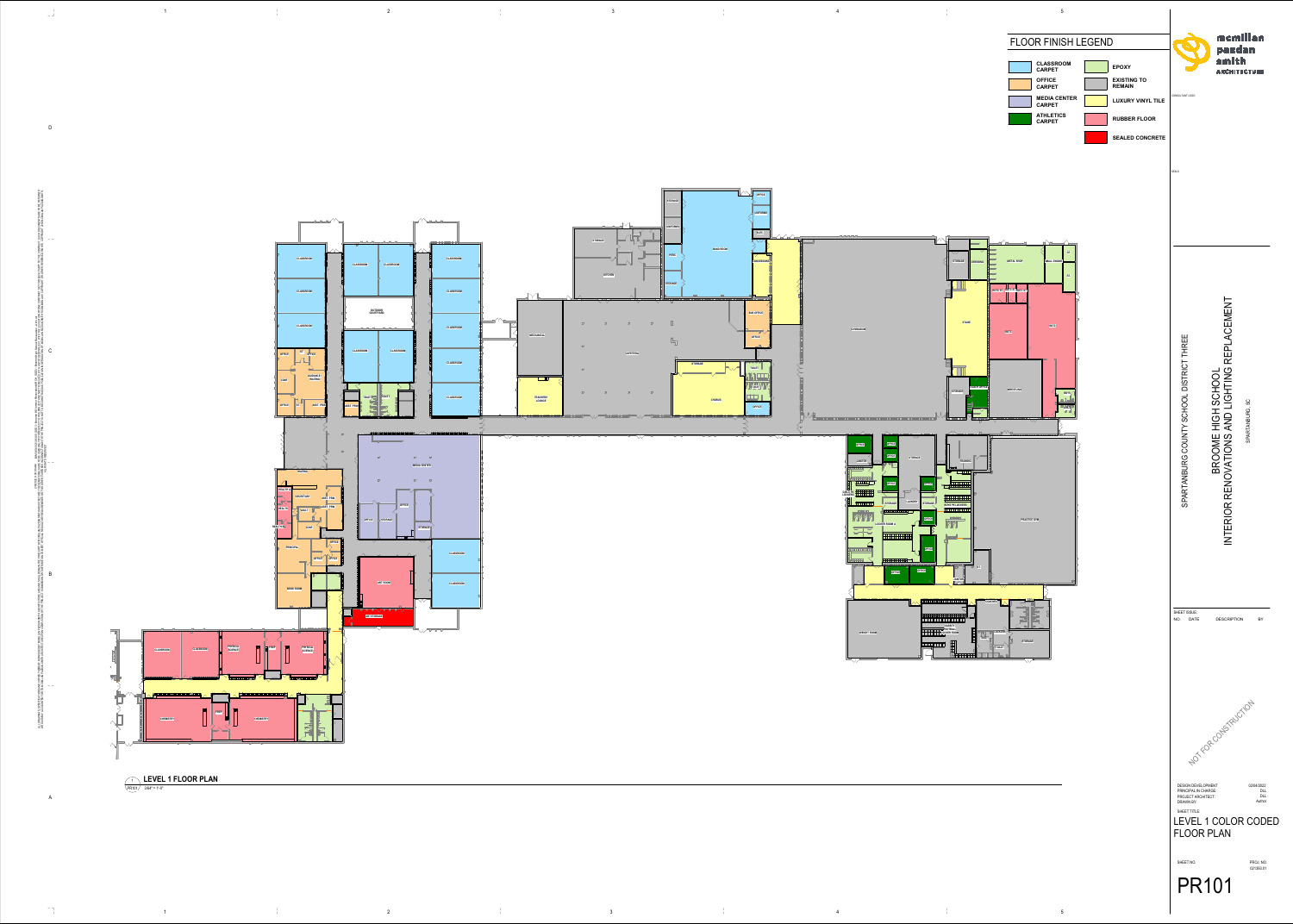

1 2 3 4

5

1

 $\frac{1}{\sqrt{2}}\frac{1}{\sqrt{2}}\frac{1}{\sqrt{2}}\left(\frac{1}{\sqrt{2}}\right)^{\frac{1}{2}}\frac{1}{\sqrt{2}}\left(\frac{1}{\sqrt{2}}\right)^{\frac{1}{2}}\frac{1}{\sqrt{2}}\left(\frac{1}{\sqrt{2}}\right)^{\frac{1}{2}}\frac{1}{\sqrt{2}}\left(\frac{1}{\sqrt{2}}\right)^{\frac{1}{2}}\frac{1}{\sqrt{2}}\left(\frac{1}{\sqrt{2}}\right)^{\frac{1}{2}}\frac{1}{\sqrt{2}}\left(\frac{1}{\sqrt{2}}\right)^{\frac{1}{2}}\frac{1}{\sqrt{$ 

 $D$ 

2

 $\mathcal{L}^{\mathcal{L}}(x)$  and  $\mathcal{L}^{\mathcal{L}}(x)$  are the set of the set of the set of the set of the set of the set of the set of the set of the set of the set of the set of the set of the set of the set of the set of the set of

3

4

 $\label{eq:2.1} \frac{1}{\sqrt{2}}\int_{\mathbb{R}^3}\frac{1}{\sqrt{2}}\left(\frac{1}{\sqrt{2}}\right)^2\frac{1}{\sqrt{2}}\left(\frac{1}{\sqrt{2}}\right)^2\frac{1}{\sqrt{2}}\left(\frac{1}{\sqrt{2}}\right)^2\frac{1}{\sqrt{2}}\left(\frac{1}{\sqrt{2}}\right)^2.$ 

5





## FLOOR FINISH LEGEND